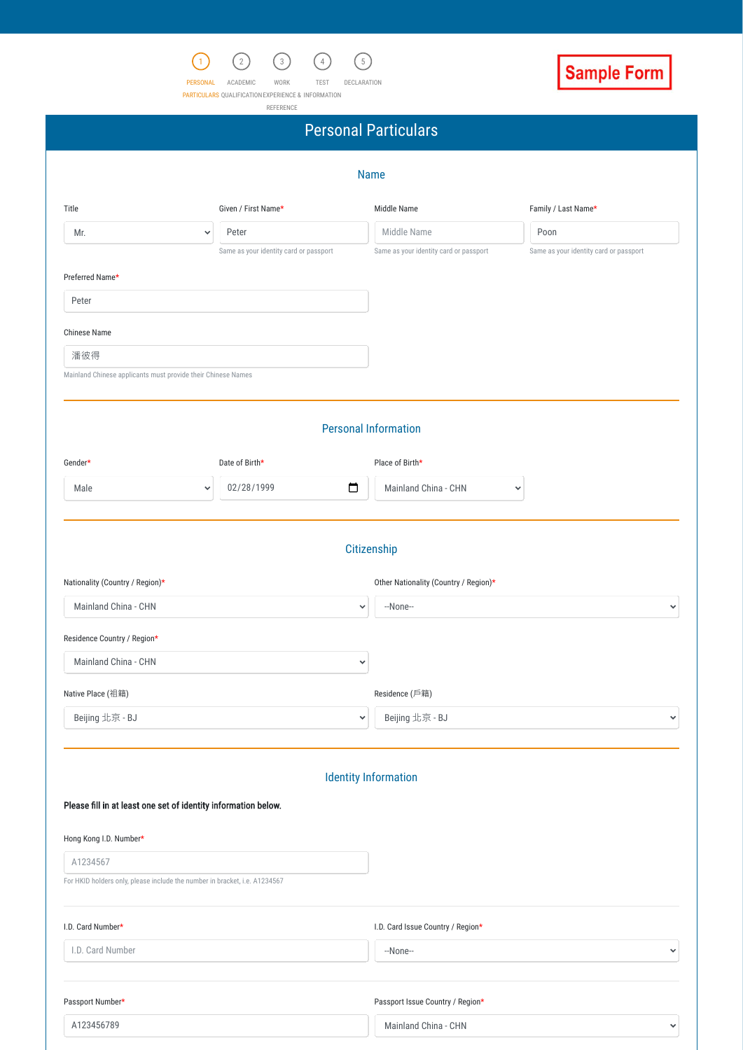## Identity Information

### Please fill in at least one set of identity information below.



PERSONAL ACADEMIC WORK TEST DECLARATION

PARTICULARS QUALIFICATION EXPERIENCE & INFORMATION



REFERENCE

|                                                              |                                        | <b>Personal Particulars</b>            |                                        |
|--------------------------------------------------------------|----------------------------------------|----------------------------------------|----------------------------------------|
|                                                              |                                        | <b>Name</b>                            |                                        |
| Title                                                        | Given / First Name*                    | Middle Name                            | Family / Last Name*                    |
| Mr.                                                          | Peter<br>$\checkmark$                  | Middle Name                            | Poon                                   |
|                                                              | Same as your identity card or passport | Same as your identity card or passport | Same as your identity card or passport |
| Preferred Name*                                              |                                        |                                        |                                        |
| Peter                                                        |                                        |                                        |                                        |
| <b>Chinese Name</b>                                          |                                        |                                        |                                        |
| 潘彼得                                                          |                                        |                                        |                                        |
| Mainland Chinese applicants must provide their Chinese Names |                                        |                                        |                                        |
|                                                              |                                        |                                        |                                        |
|                                                              |                                        |                                        |                                        |
|                                                              |                                        | <b>Personal Information</b>            |                                        |
| Gender*                                                      | Date of Birth*                         | Place of Birth*                        |                                        |
| Male                                                         | 02/28/1999<br>$\checkmark$             | $\Box$<br>Mainland China - CHN         | $\checkmark$                           |
|                                                              |                                        |                                        |                                        |
|                                                              |                                        |                                        |                                        |
|                                                              |                                        | Citizenship                            |                                        |
|                                                              |                                        | Other Nationality (Country / Region)*  |                                        |
| Nationality (Country / Region)*<br>Mainland China - CHN      |                                        | --None--<br>$\checkmark$               | $\checkmark$                           |
|                                                              |                                        |                                        |                                        |
| Residence Country / Region*<br>Mainland China - CHN          |                                        | $\checkmark$                           |                                        |
| Native Place (祖籍)                                            |                                        | Residence (戶籍)                         |                                        |

|  |  |  | Hong Kong I.D. Number* |
|--|--|--|------------------------|
|--|--|--|------------------------|

A1234567

For HKID holders only, please include the number in bracket, i.e. A1234567

| I.D. Card Number* | I.D. Card Issue Country / Region* |              |
|-------------------|-----------------------------------|--------------|
| I.D. Card Number  | --None--                          | $\checkmark$ |
|                   |                                   |              |
| Passport Number*  | Passport Issue Country / Region*  |              |
| A123456789        | Mainland China - CHN              | $\checkmark$ |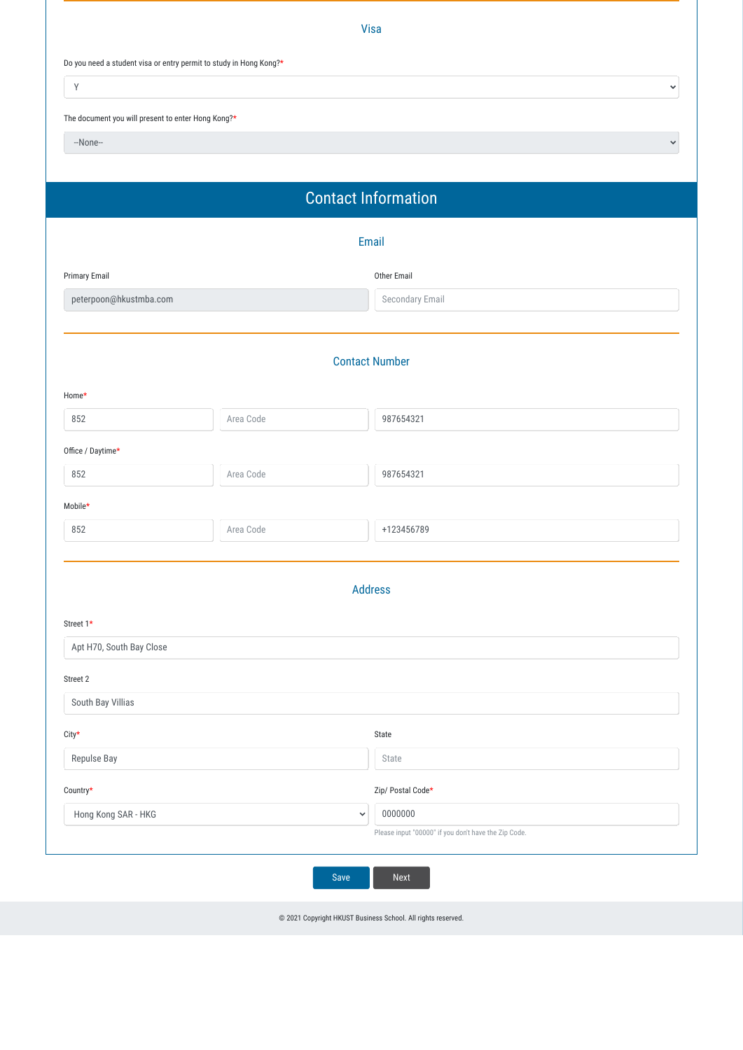

|                                                                    |           | Visa                       |
|--------------------------------------------------------------------|-----------|----------------------------|
| Do you need a student visa or entry permit to study in Hong Kong?* |           |                            |
| $\mathsf Y$                                                        |           | $\checkmark$               |
| The document you will present to enter Hong Kong?*                 |           |                            |
| --None--                                                           |           | $\checkmark$               |
|                                                                    |           |                            |
|                                                                    |           | <b>Contact Information</b> |
|                                                                    |           | Email                      |
| Primary Email                                                      |           | Other Email                |
| peterpoon@hkustmba.com                                             |           | Secondary Email            |
|                                                                    |           |                            |
|                                                                    |           | <b>Contact Number</b>      |
| Home*                                                              |           |                            |
| 852                                                                | Area Code | 987654321                  |
| Office / Daytime*                                                  |           |                            |
| 852                                                                | Area Code | 987654321                  |
| Mobile*                                                            |           |                            |
| 852                                                                | Area Code | +123456789                 |
|                                                                    |           |                            |
|                                                                    |           | <b>Address</b>             |
| Street 1*                                                          |           |                            |
| Apt H70, South Bay Close                                           |           |                            |
| Street 2                                                           |           |                            |
| South Bay Villias                                                  |           |                            |
| $City^{\star}$                                                     |           | State                      |
| Repulse Bay                                                        |           | State                      |

| Hong Kong SAR - HKG | 0000000<br>$\overline{\phantom{a}}$                  |
|---------------------|------------------------------------------------------|
|                     | Please input "00000" if you don't have the Zip Code. |
|                     |                                                      |

© 2021 Copyright HKUST Business School. All rights reserved.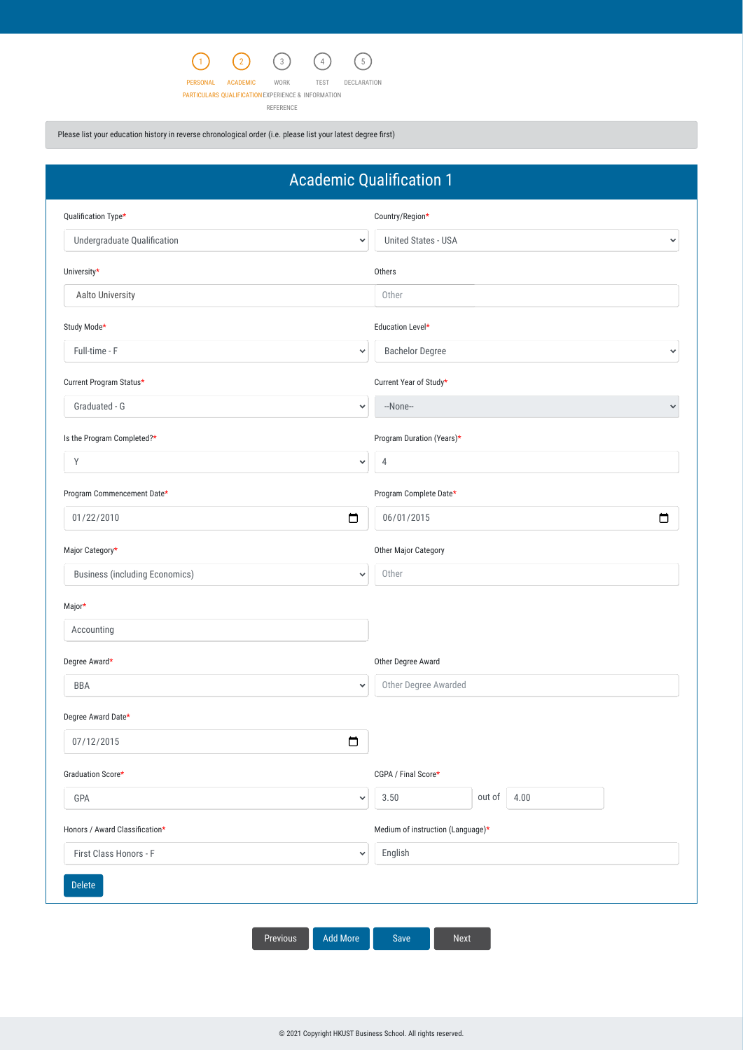

PERSONAL ACADEMIC

PARTICULARS QUALIFICATION EXPERIENCE & INFORMATION



REFERENCE

Please list your education history in reverse chronological order (i.e. please list your latest degree first)

|                                                       | <b>Academic Qualification 1</b>            |
|-------------------------------------------------------|--------------------------------------------|
| Qualification Type*                                   | Country/Region*                            |
| Undergraduate Qualification<br>$\checkmark$           | <b>United States - USA</b><br>$\checkmark$ |
| University*                                           | Others                                     |
| Aalto University                                      | Other                                      |
| Study Mode*                                           | Education Level*                           |
| Full-time - F<br>$\checkmark$                         | <b>Bachelor Degree</b><br>$\checkmark$     |
| Current Program Status*                               | Current Year of Study*                     |
| Graduated - G<br>$\checkmark$                         | --None--<br>$\checkmark$                   |
| Is the Program Completed?*                            | Program Duration (Years)*                  |
| Y<br>$\checkmark$                                     | $\overline{4}$                             |
| Program Commencement Date*                            | Program Complete Date*                     |
| $\Box$<br>01/22/2010                                  | □<br>06/01/2015                            |
| Major Category*                                       | Other Major Category                       |
| <b>Business (including Economics)</b><br>$\checkmark$ | Other                                      |
| Major*                                                |                                            |
| Accounting                                            |                                            |
| Degree Award*                                         | Other Degree Award                         |
| <b>BBA</b><br>$\checkmark$                            | Other Degree Awarded                       |
| Degree Award Date*                                    |                                            |
| $\Box$<br>07/12/2015                                  |                                            |
| Graduation Score*                                     | CGPA / Final Score*                        |

| GPA<br>$\checkmark$                    | out of<br>4.00<br>3.50            |
|----------------------------------------|-----------------------------------|
| Honors / Award Classification*         | Medium of instruction (Language)* |
| First Class Honors - F<br>$\checkmark$ | English                           |
| <b>Delete</b>                          |                                   |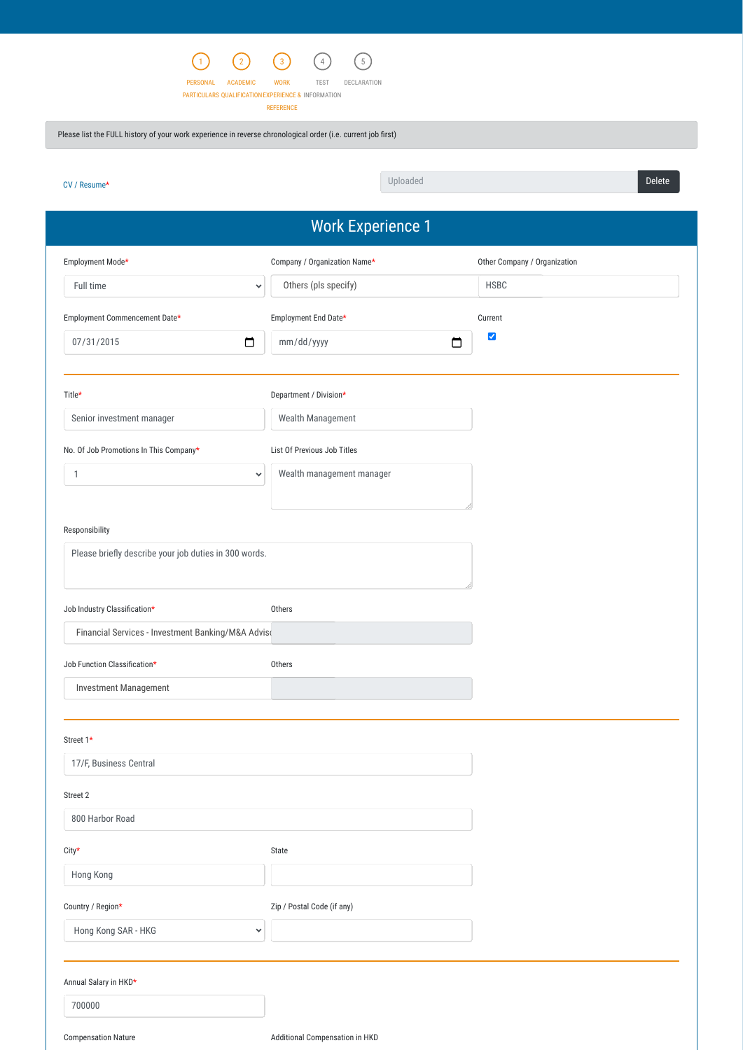

PERSONAL ACADEMIC WORK TEST DECLARATION

PARTICULARS QUALIFICATION EXPERIENCE & INFORMATION

REFERENCE

Please list the FULL history of your work experience in reverse chronological order (i.e. current job first)

| 800 Harbor Road            |                                |  |
|----------------------------|--------------------------------|--|
| $City*$                    | State                          |  |
| Hong Kong                  |                                |  |
| Country / Region*          | Zip / Postal Code (if any)     |  |
| Hong Kong SAR - HKG        | $\checkmark$                   |  |
|                            |                                |  |
| Annual Salary in HKD*      |                                |  |
| 700000                     |                                |  |
| <b>Compensation Nature</b> | Additional Compensation in HKD |  |

|                                                                         | <b>Work Experience 1</b>     |                              |
|-------------------------------------------------------------------------|------------------------------|------------------------------|
| Employment Mode*                                                        | Company / Organization Name* | Other Company / Organization |
| Full time<br>$\checkmark$                                               | Others (pls specify)         | <b>HSBC</b>                  |
| Employment Commencement Date*                                           | Employment End Date*         | Current                      |
| $\Box$<br>07/31/2015                                                    | mm/dd/yyyy                   | $\blacktriangledown$<br>□    |
| Title*                                                                  | Department / Division*       |                              |
| Senior investment manager                                               | Wealth Management            |                              |
| No. Of Job Promotions In This Company*                                  | List Of Previous Job Titles  |                              |
| $\mathbf{1}$<br>$\checkmark$                                            | Wealth management manager    |                              |
| Responsibility<br>Please briefly describe your job duties in 300 words. |                              |                              |
| Job Industry Classification*                                            | Others                       |                              |
| Financial Services - Investment Banking/M&A Adviso                      |                              |                              |
| Job Function Classification*                                            | Others                       |                              |
| <b>Investment Management</b>                                            |                              |                              |
| Street 1*                                                               |                              |                              |
| 17/F, Business Central                                                  |                              |                              |

[CV / Resume\\*](https://dev2021-hkust.cs117.force.com/HKUSTMBAPortal/servlet/servlet.FileDownload?retURL=%2FHKUSTMBAPortal%2Fapex%2FHKUST_MBA_App_Work_Experience&file=00P1m000000axfsEAA&_CONFIRMATIONTOKEN=VmpFPSxNakF5TVMwd01pMHdNMVF3TlRvd05qbzBPUzR5TVRoYSxpbk1MUnhNOWFWZlRfWjJzMGVMeE9aLE5qaGpNR1Zr&common.udd.actions.ActionsUtilORIG_URI=%2FHKUSTMBAPortal%2Fservlet%2Fservlet.FileDownload) → Delete → Delete → Delete → Delete → Delete → Delete → Delete → Delete → Delete → Delete → Delete Uploaded

### Street 2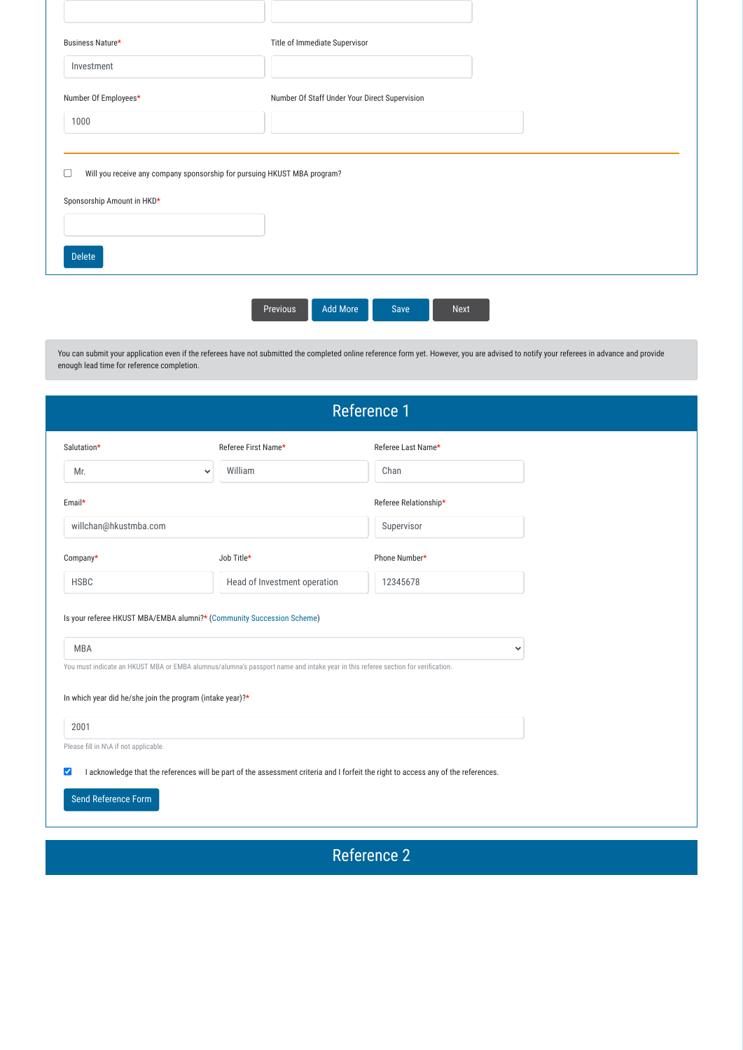You can submit your application even if the referees have not submitted the completed online reference form yet. However, you are advised to notify your referees in advance and provide enough lead time for reference completion.

| Business Nature*                                                              | Title of Immediate Supervisor                 |  |
|-------------------------------------------------------------------------------|-----------------------------------------------|--|
| Investment                                                                    |                                               |  |
| Number Of Employees*                                                          | Number Of Staff Under Your Direct Supervision |  |
| 1000                                                                          |                                               |  |
| Will you receive any company sponsorship for pursuing HKUST MBA program?<br>L |                                               |  |
| Sponsorship Amount in HKD*                                                    |                                               |  |
|                                                                               |                                               |  |
|                                                                               |                                               |  |

| <b>Previous</b> | <b>Add More</b> | Save | 'Next |
|-----------------|-----------------|------|-------|
|-----------------|-----------------|------|-------|



| <b>Reference 1</b>                                        |                                       |                                                                                                                                 |                       |
|-----------------------------------------------------------|---------------------------------------|---------------------------------------------------------------------------------------------------------------------------------|-----------------------|
| Salutation*                                               |                                       | Referee First Name*                                                                                                             | Referee Last Name*    |
| Mr.                                                       | $\checkmark$                          | William                                                                                                                         | Chan                  |
| Email*                                                    |                                       |                                                                                                                                 | Referee Relationship* |
| willchan@hkustmba.com                                     |                                       |                                                                                                                                 | Supervisor            |
| Company*                                                  |                                       | Job Title*                                                                                                                      | Phone Number*         |
| <b>HSBC</b>                                               |                                       | Head of Investment operation                                                                                                    | 12345678              |
| <b>MBA</b>                                                |                                       | Is your referee HKUST MBA/EMBA alumni?* (Community Succession Scheme)                                                           | $\checkmark$          |
|                                                           |                                       | You must indicate an HKUST MBA or EMBA alumnus/alumna's passport name and intake year in this referee section for verification. |                       |
| In which year did he/she join the program (intake year)?* |                                       |                                                                                                                                 |                       |
| 2001                                                      |                                       |                                                                                                                                 |                       |
|                                                           | Please fill in N\A if not applicable. |                                                                                                                                 |                       |

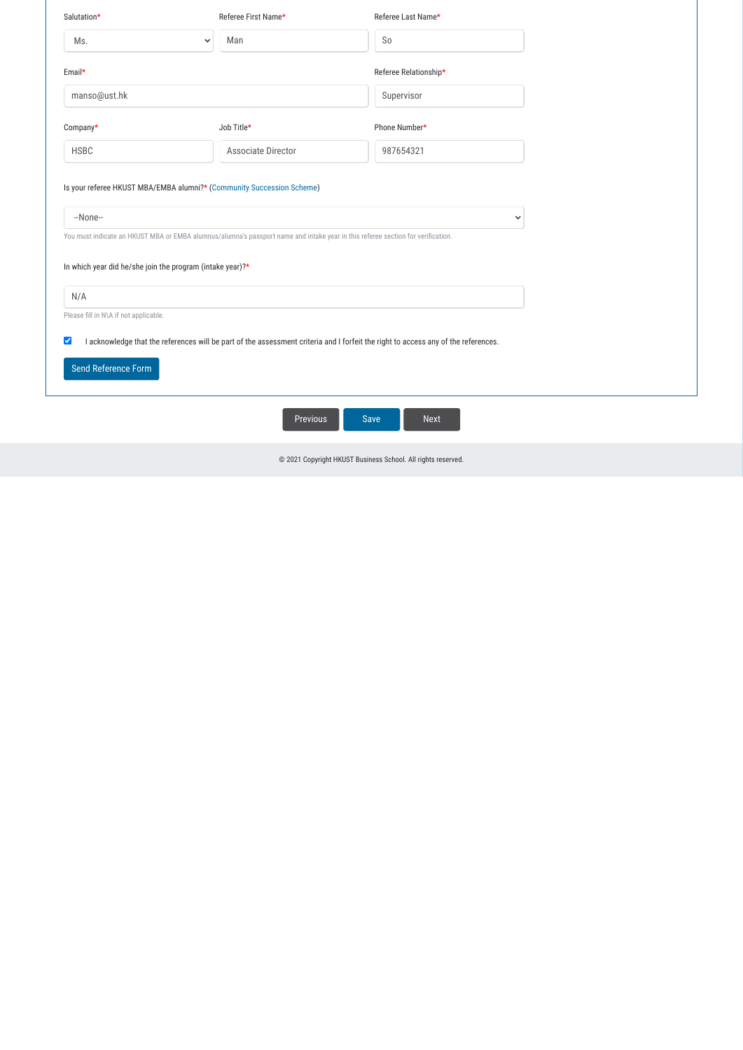| Salutation*                                                                                                                                                | Referee First Name*                                                                                                             | Referee Last Name*    |  |
|------------------------------------------------------------------------------------------------------------------------------------------------------------|---------------------------------------------------------------------------------------------------------------------------------|-----------------------|--|
| Ms.<br>$\checkmark$                                                                                                                                        | Man                                                                                                                             | S <sub>o</sub>        |  |
| Email*                                                                                                                                                     |                                                                                                                                 | Referee Relationship* |  |
| manso@ust.hk                                                                                                                                               |                                                                                                                                 | Supervisor            |  |
| Company*                                                                                                                                                   | Job Title*                                                                                                                      | Phone Number*         |  |
| <b>HSBC</b>                                                                                                                                                | <b>Associate Director</b>                                                                                                       | 987654321             |  |
| Is your referee HKUST MBA/EMBA alumni?* (Community Succession Scheme)<br>--None--<br>$\checkmark$                                                          |                                                                                                                                 |                       |  |
|                                                                                                                                                            | You must indicate an HKUST MBA or EMBA alumnus/alumna's passport name and intake year in this referee section for verification. |                       |  |
| In which year did he/she join the program (intake year)?*                                                                                                  |                                                                                                                                 |                       |  |
| N/A                                                                                                                                                        |                                                                                                                                 |                       |  |
| Please fill in N\A if not applicable.                                                                                                                      |                                                                                                                                 |                       |  |
| I acknowledge that the references will be part of the assessment criteria and I forfeit the right to access any of the references.<br>$\blacktriangledown$ |                                                                                                                                 |                       |  |
| Send Reference Form                                                                                                                                        |                                                                                                                                 |                       |  |
| Previous<br><b>Next</b><br>Save                                                                                                                            |                                                                                                                                 |                       |  |
| @ 2021 Copyright HKUST Business School. All rights reserved.                                                                                               |                                                                                                                                 |                       |  |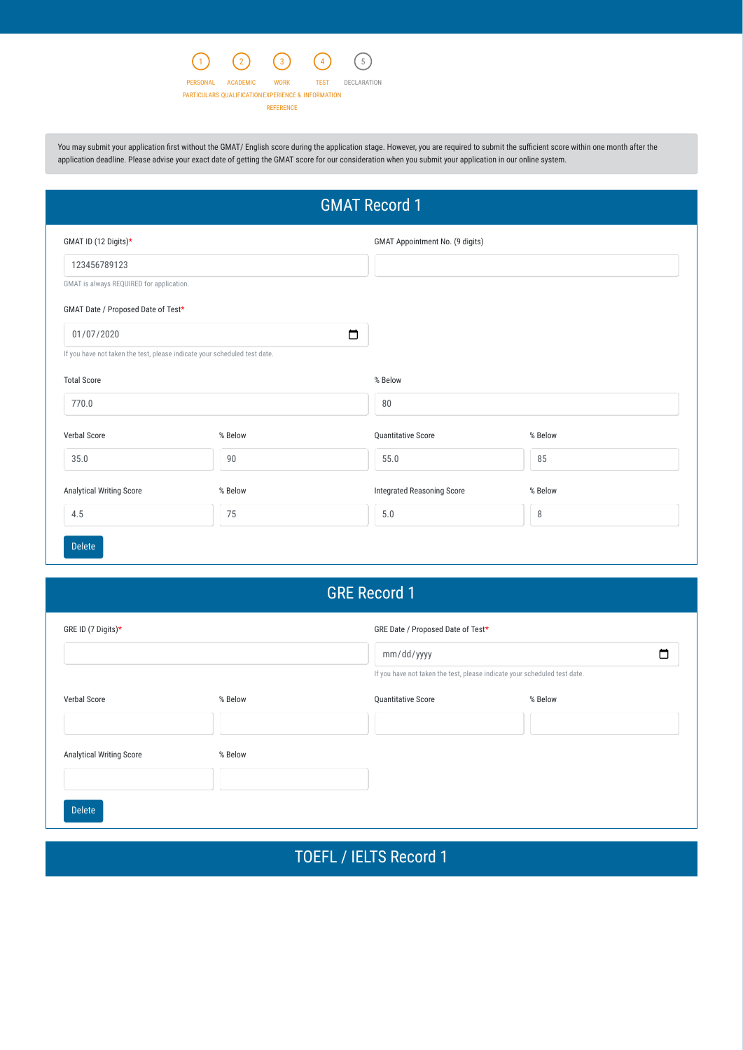You may submit your application first without the GMAT/ English score during the application stage. However, you are required to submit the sufficient score within one month after the application deadline. Please advise your exact date of getting the GMAT score for our consideration when you submit your application in our online system.

# GRE Record 1



## TOEFL / IELTS Record 1



| <b>GMAT Record 1</b>                                                      |         |                                        |         |
|---------------------------------------------------------------------------|---------|----------------------------------------|---------|
| GMAT ID (12 Digits)*                                                      |         | <b>GMAT Appointment No. (9 digits)</b> |         |
| 123456789123                                                              |         |                                        |         |
| GMAT is always REQUIRED for application.                                  |         |                                        |         |
| GMAT Date / Proposed Date of Test*                                        |         |                                        |         |
| 01/07/2020                                                                |         | $\Box$                                 |         |
| If you have not taken the test, please indicate your scheduled test date. |         |                                        |         |
| <b>Total Score</b>                                                        |         | % Below                                |         |
| 770.0                                                                     |         | 80                                     |         |
| Verbal Score                                                              | % Below | Quantitative Score                     | % Below |
| 35.0                                                                      | 90      | 55.0                                   | 85      |
| Analytical Writing Score                                                  | % Below | <b>Integrated Reasoning Score</b>      | % Below |
| 4.5                                                                       | 75      | $5.0$                                  | $\, 8$  |
| <b>Delete</b>                                                             |         |                                        |         |

| GRE ID (7 Digits)*              |         |                                                                           | GRE Date / Proposed Date of Test* |  |  |
|---------------------------------|---------|---------------------------------------------------------------------------|-----------------------------------|--|--|
|                                 |         | mm/dd/yyyy                                                                |                                   |  |  |
|                                 |         | If you have not taken the test, please indicate your scheduled test date. |                                   |  |  |
| Verbal Score                    | % Below | Quantitative Score                                                        | % Below                           |  |  |
|                                 |         |                                                                           |                                   |  |  |
| <b>Analytical Writing Score</b> | % Below |                                                                           |                                   |  |  |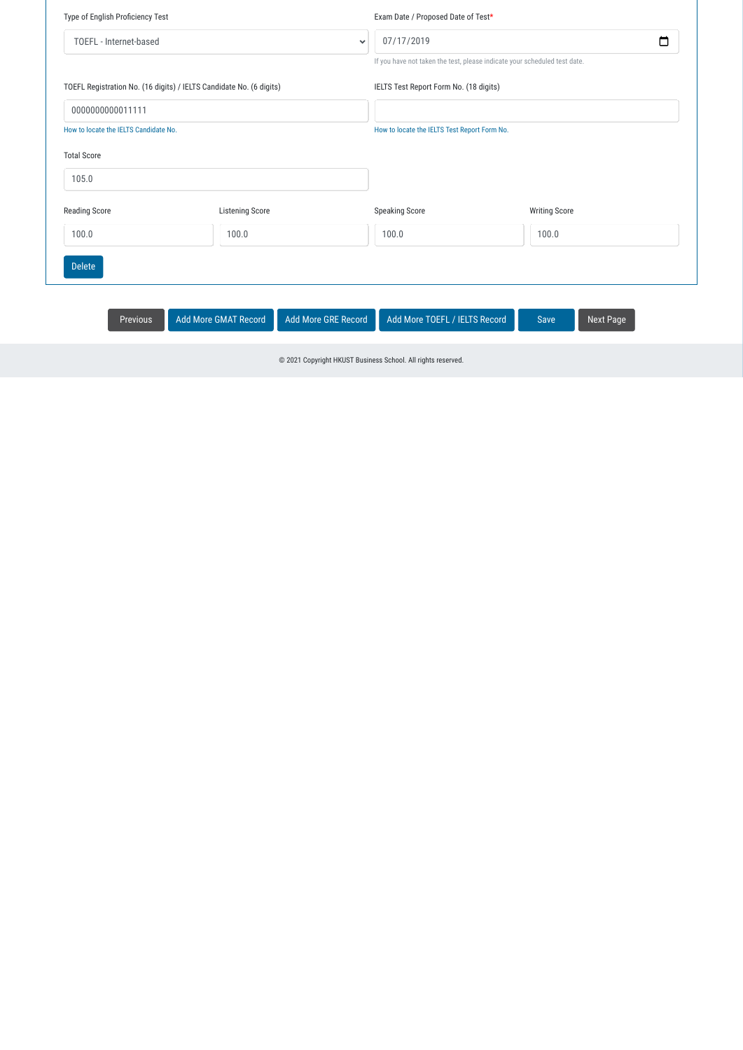| Type of English Proficiency Test                                    |                        | Exam Date / Proposed Date of Test* |                                                                           |  |
|---------------------------------------------------------------------|------------------------|------------------------------------|---------------------------------------------------------------------------|--|
| TOEFL - Internet-based<br>$\checkmark$                              |                        | 07/17/2019                         |                                                                           |  |
|                                                                     |                        |                                    | If you have not taken the test, please indicate your scheduled test date. |  |
| TOEFL Registration No. (16 digits) / IELTS Candidate No. (6 digits) |                        |                                    | IELTS Test Report Form No. (18 digits)                                    |  |
| 0000000000011111                                                    |                        |                                    |                                                                           |  |
| How to locate the IELTS Candidate No.                               |                        |                                    | How to locate the IELTS Test Report Form No.                              |  |
| <b>Total Score</b>                                                  |                        |                                    |                                                                           |  |
| 105.0                                                               |                        |                                    |                                                                           |  |
| <b>Reading Score</b>                                                | <b>Listening Score</b> | <b>Speaking Score</b>              | <b>Writing Score</b>                                                      |  |
| 100.0                                                               | 100.0                  | 100.0                              | 100.0                                                                     |  |
| <b>Delete</b>                                                       |                        |                                    |                                                                           |  |
|                                                                     |                        |                                    |                                                                           |  |

Previous Add More GMAT Record Add More GRE Record Add More TOEFL / IELTS Record Save Next Page

© 2021 Copyright HKUST Business School. All rights reserved.